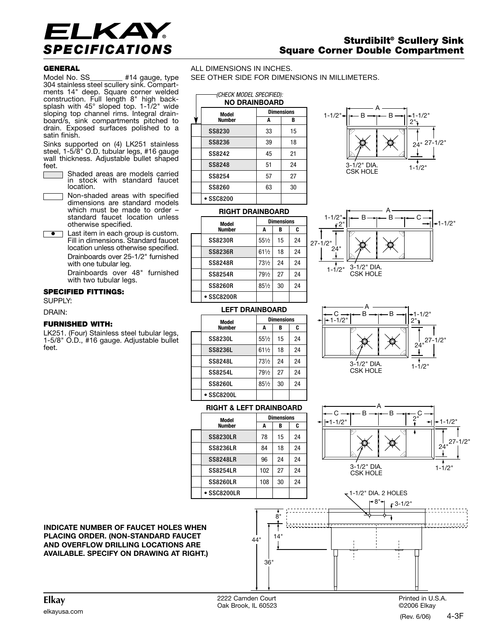

# **Sturdibilt® Scullery Sink Square Corner Double Compartment**

## **GENERAL**

Model No. SS\_\_\_\_\_\_\_\_\_ #14 gauge, type 304 stainless steel scullery sink. Compartments 14" deep. Square corner welded construction. Full length 8" high backsplash with 45° sloped top. 1-1/2" wide sloping top channel rims. Integral drainboard/s, sink compartments pitched to drain. Exposed surfaces polished to a satin finish.

Sinks supported on (4) LK251 stainless steel, 1-5/8" O.D. tubular legs, #16 gauge wall thickness. Adjustable bullet shaped feet.

- Shaded areas are models carried in stock with standard faucet location.
- Non-shaded areas with specified dimensions are standard models which must be made to order – standard faucet location unless otherwise specified.
- **Last item in each group is custom.** Fill in dimensions. Standard faucet location unless otherwise specified. Drainboards over 25-1/2" furnished with one tubular leg. Drainboards over 48" furnished

with two tubular legs.

# **SPECIFIED FITTINGS:**

SUPPLY:

#### DRAIN:

## **FURNISHED WITH:**

LK251. (Four) Stainless steel tubular legs, 1-5/8" O.D., #16 gauge. Adjustable bullet feet.

ALL DIMENSIONS IN INCHES. SEE OTHER SIDE FOR DIMENSIONS IN MILLIMETERS.

#### **NO DRAINBOARD** *(CHECK MODEL SPECIFIED):*

|                         | NU DNAINDUAND |                   |    |  |  |
|-------------------------|---------------|-------------------|----|--|--|
|                         | Model         | <b>Dimensions</b> |    |  |  |
|                         | <b>Number</b> | A                 | в  |  |  |
|                         | SS8230        | 33                | 15 |  |  |
|                         | SS8236        | 39                | 18 |  |  |
|                         | SS8242        | 45                | 21 |  |  |
|                         | SS8248        | 51                | 24 |  |  |
|                         | SS8254        | 57                | 27 |  |  |
|                         | SS8260        | 63                | 30 |  |  |
|                         | SSC8200       |                   |    |  |  |
| <b>RIGHT DRAINBOARD</b> |               |                   |    |  |  |







## **RIGHT & LEFT DRAINBOARD**

• SSC8200L

• SSC8200R

**Model Dimensions Number A B C**  $SS82301$   $551/21$  15 24 SS8236L 61<sup>1</sup>/<sub>2</sub> 18 24 SS8248L 73<sup>1</sup>/2 24 24 SS8254L  $|79!/2|27|24$ SS8260L  $85\frac{1}{2}$  30 24

**LEFT DRAINBOARD**

**Model Dimensions Number A** | **B** | **C** SS8230R 551⁄2 15 24 SS8236R 611⁄2 18 24 SS8248R 731⁄2 24 24 SS8254R 791/2 27 24  $SS8260R$   $851/2$  30 24

| Model               | <b>Dimensions</b> |    |    |
|---------------------|-------------------|----|----|
| <b>Number</b>       | A                 | B  | C  |
| <b>SS8230LR</b>     | 78                | 15 | 24 |
| <b>SS8236LR</b>     | 84                | 18 | 24 |
| <b>SS8248LR</b>     | 96                | 24 | 24 |
| <b>SS8254LR</b>     | 102               | 27 | 24 |
| <b>SS8260LR</b>     | 108               | 30 | 24 |
| $\bullet$ SSC8200LR |                   |    |    |